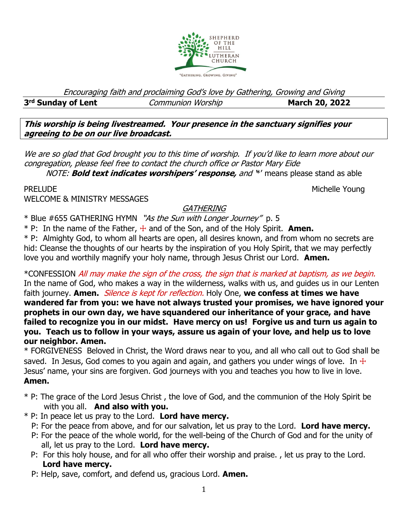

Encouraging faith and proclaiming God's love by Gathering, Growing and Giving

#### 3<sup>rd</sup> Sunday of Lent

*Communion Worship* **<b>March 20, 2022** 

**This worship is being livestreamed. Your presence in the sanctuary signifies your agreeing to be on our live broadcast.** 

We are so glad that God brought you to this time of worship. If you'd like to learn more about our congregation, please feel free to contact the church office or Pastor Mary Eide

NOTE: **Bold text indicates worshipers' response,** and '\*' means please stand as able

PRELUDE NOUNE ALL ACCESS AND ACCESS AND ACCESS AND ACCESS AND MICHELLE YOUNG

WELCOME & MINISTRY MESSAGES

# **GATHERING**

\* Blue #655 GATHERING HYMN "As the Sun with Longer Journey" p. 5

\* P: In the name of the Father, ☩ and of the Son, and of the Holy Spirit. **Amen.**

\* P: Almighty God, to whom all hearts are open, all desires known, and from whom no secrets are hid: Cleanse the thoughts of our hearts by the inspiration of you Holy Spirit, that we may perfectly love you and worthily magnify your holy name, through Jesus Christ our Lord. **Amen.** 

\*CONFESSION All may make the sign of the cross, the sign that is marked at baptism, as we begin. In the name of God, who makes a way in the wilderness, walks with us, and guides us in our Lenten faith journey. **Amen.** *Silence is kept for reflection.* Holy One, we confess at times we have **wandered far from you: we have not always trusted your promises, we have ignored your prophets in our own day, we have squandered our inheritance of your grace, and have failed to recognize you in our midst. Have mercy on us! Forgive us and turn us again to you. Teach us to follow in your ways, assure us again of your love, and help us to love our neighbor. Amen.**

\* FORGIVENESS Beloved in Christ, the Word draws near to you, and all who call out to God shall be saved. In Jesus, God comes to you again and again, and gathers you under wings of love. In  $\pm$ Jesus' name, your sins are forgiven. God journeys with you and teaches you how to live in love. **Amen.**

- \* P: The grace of the Lord Jesus Christ , the love of God, and the communion of the Holy Spirit be with you all. **And also with you.**
- \* P: In peace let us pray to the Lord. **Lord have mercy.**
	- P: For the peace from above, and for our salvation, let us pray to the Lord. **Lord have mercy.**
	- P: For the peace of the whole world, for the well-being of the Church of God and for the unity of all, let us pray to the Lord. **Lord have mercy.**
	- P: For this holy house, and for all who offer their worship and praise. , let us pray to the Lord.  **Lord have mercy.**
	- P: Help, save, comfort, and defend us, gracious Lord. **Amen.**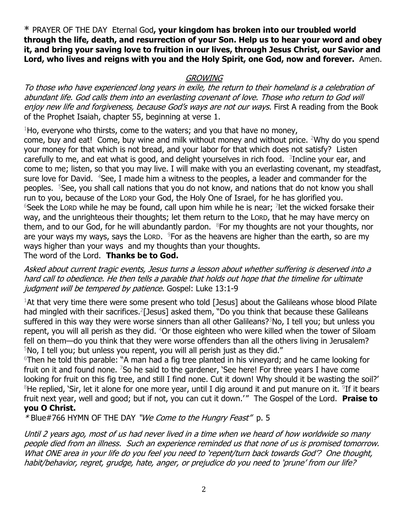**\*** PRAYER OF THE DAY Eternal God**, your kingdom has broken into our troubled world through the life, death, and resurrection of your Son. Help us to hear your word and obey it, and bring your saving love to fruition in our lives, through Jesus Christ, our Savior and Lord, who lives and reigns with you and the Holy Spirit, one God, now and forever.** Amen.

### **GROWING**

To those who have experienced long years in exile, the return to their homeland is a celebration of abundant life. God calls them into an everlasting covenant of love. Those who return to God will enjoy new life and forgiveness, because God's ways are not our ways. First A reading from the Book of the Prophet Isaiah, chapter 55, beginning at verse 1.

 $1$ Ho, everyone who thirsts, come to the waters; and you that have no money,

come, buy and eat! Come, buy wine and milk without money and without price. <sup>2</sup>Why do you spend your money for that which is not bread, and your labor for that which does not satisfy? Listen carefully to me, and eat what is good, and delight yourselves in rich food.  $3$ Incline your ear, and come to me; listen, so that you may live. I will make with you an everlasting covenant, my steadfast, sure love for David. <sup>4</sup>See, I made him a witness to the peoples, a leader and commander for the peoples. <sup>5</sup>See, you shall call nations that you do not know, and nations that do not know you shall run to you, because of the LORD your God, the Holy One of Israel, for he has glorified you.  $6$ Seek the Lorp while he may be found, call upon him while he is near; <sup>7</sup> let the wicked forsake their way, and the unrighteous their thoughts; let them return to the LORD, that he may have mercy on them, and to our God, for he will abundantly pardon.  $8$ For my thoughts are not your thoughts, nor are your ways my ways, says the Lorp.  $9$ For as the heavens are higher than the earth, so are my ways higher than your ways and my thoughts than your thoughts.

The word of the Lord. **Thanks be to God.**

Asked about current tragic events, Jesus turns a lesson about whether suffering is deserved into a hard call to obedience. He then tells a parable that holds out hope that the timeline for ultimate judgment will be tempered by patience. Gospel: Luke 13:1-9

 $1$ At that very time there were some present who told [Jesus] about the Galileans whose blood Pilate had mingled with their sacrifices.<sup>2</sup>[Jesus] asked them, "Do you think that because these Galileans suffered in this way they were worse sinners than all other Galileans?<sup>3</sup>No, I tell you; but unless you repent, you will all perish as they did. <sup>4</sup>Or those eighteen who were killed when the tower of Siloam fell on them—do you think that they were worse offenders than all the others living in Jerusalem?  $5$ No, I tell you; but unless you repent, you will all perish just as they did."

<sup>6</sup>Then he told this parable: "A man had a fig tree planted in his vineyard; and he came looking for fruit on it and found none. <sup>7</sup>So he said to the gardener, 'See here! For three years I have come looking for fruit on this fig tree, and still I find none. Cut it down! Why should it be wasting the soil?'  $8$ He replied, `Sir, let it alone for one more year, until I dig around it and put manure on it.  $9$ If it bears fruit next year, well and good; but if not, you can cut it down.'" The Gospel of the Lord. Praise to **you O Christ.**

## \*[Blue#766](https://members.sundaysandseasons.com/Music/Index/2021-1-31/2182) HYMN OF THE DAY "We Come to the Hungry Feast" p. 5

Until 2 years ago, most of us had never lived in a time when we heard of how worldwide so many people died from an illness. Such an experience reminded us that none of us is promised tomorrow. What ONE area in your life do you feel you need to 'repent/turn back towards God'? One thought, habit/behavior, regret, grudge, hate, anger, or prejudice do you need to 'prune' from our life?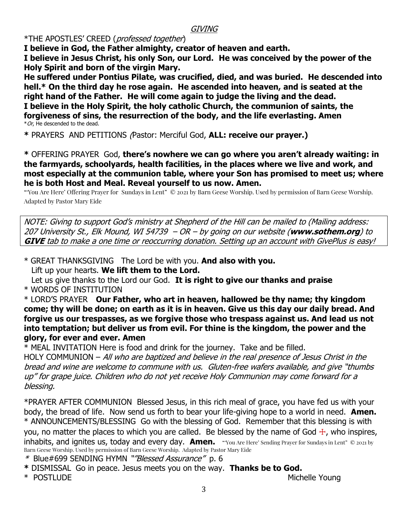#### **GIVING**

\*THE APOSTLES' CREED (professed together)

**I believe in God, the Father almighty, creator of heaven and earth. I believe in Jesus Christ, his only Son, our Lord. He was conceived by the power of the Holy Spirit and born of the virgin Mary.**

**He suffered under Pontius Pilate, was crucified, died, and was buried. He descended into hell.\* On the third day he rose again. He ascended into heaven, and is seated at the right hand of the Father. He will come again to judge the living and the dead. I believe in the Holy Spirit, the holy catholic Church, the communion of saints, the forgiveness of sins, the resurrection of the body, and the life everlasting. Amen**  $*$  Or, He descended to the dead.

**\*** PRAYERS AND PETITIONS (Pastor: Merciful God, **ALL: receive our prayer.)**

**\*** OFFERING PRAYERGod, **there's nowhere we can go where you aren't already waiting: in the farmyards, schoolyards, health facilities, in the places where we live and work, and most especially at the communion table, where your Son has promised to meet us; where he is both Host and Meal. Reveal yourself to us now. Amen.** 

"'You Are Here' Offering Prayer for Sundays in Lent" © 2021 by Barn Geese Worship. Used by permission of Barn Geese Worship. Adapted by Pastor Mary Eide

NOTE: Giving to support God's ministry at Shepherd of the Hill can be mailed to (Mailing address: 207 University St., Elk Mound, WI 54739 – OR – by going on our website (**www.sothem.org**) to **GIVE** tab to make a one time or reoccurring donation. Setting up an account with GivePlus is easy!

\* GREAT THANKSGIVING The Lord be with you. **And also with you.** Lift up your hearts. **We lift them to the Lord.**

 Let us give thanks to the Lord our God. **It is right to give our thanks and praise** \* WORDS OF INSTITUTION

\* LORD'S PRAYER **Our Father, who art in heaven, hallowed be thy name; thy kingdom come; thy will be done; on earth as it is in heaven. Give us this day our daily bread. And forgive us our trespasses, as we forgive those who trespass against us. And lead us not into temptation; but deliver us from evil. For thine is the kingdom, the power and the glory, for ever and ever. Amen**

\* MEAL INVITATION Here is food and drink for the journey. Take and be filled.

HOLY COMMUNION – All who are baptized and believe in the real presence of Jesus Christ in the bread and wine are welcome to commune with us. Gluten-free wafers available, and give "thumbs up" for grape juice. Children who do not yet receive Holy Communion may come forward for a blessing.

\*PRAYER AFTER COMMUNION Blessed Jesus, in this rich meal of grace, you have fed us with your body, the bread of life. Now send us forth to bear your life-giving hope to a world in need. **Amen.** \* ANNOUNCEMENTS/BLESSING Go with the blessing of God. Remember that this blessing is with you, no matter the places to which you are called. Be blessed by the name of God  $\pm$ , who inspires, inhabits, and ignites us, today and every day. **Amen.** "You Are Here' Sending Prayer for Sundays in Lent" © 2021 by Barn Geese Worship. Used by permission of Barn Geese Worship. Adapted by Pastor Mary Eide

\* [Blue#699](https://members.sundaysandseasons.com/Music/Index/2021-1-31/2182) SENDING HYMN "*"Blessed Assurance"* p. 6

**\*** DISMISSALGo in peace. Jesus meets you on the way. **Thanks be to God.**

\* POSTLUDE Michelle Young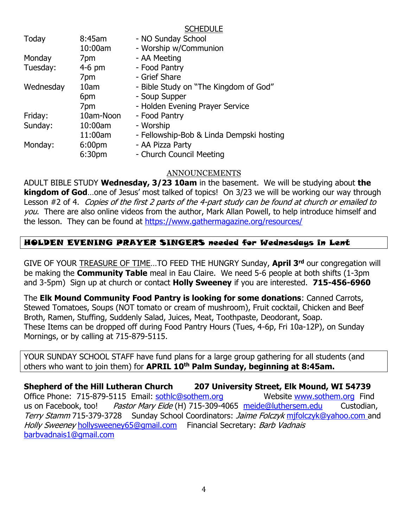**SCHEDULE** 

| 8:45am             | - NO Sunday School                       |
|--------------------|------------------------------------------|
| 10:00am            | - Worship w/Communion                    |
| 7pm                | - AA Meeting                             |
| $4-6$ pm           | - Food Pantry                            |
| 7pm                | - Grief Share                            |
| 10am               | - Bible Study on "The Kingdom of God"    |
| 6pm                | - Soup Supper                            |
| 7pm                | - Holden Evening Prayer Service          |
| 10am-Noon          | - Food Pantry                            |
| 10:00am            | - Worship                                |
| 11:00am            | - Fellowship-Bob & Linda Dempski hosting |
| 6:00 <sub>pm</sub> | - AA Pizza Party                         |
| 6:30 <sub>pm</sub> | - Church Council Meeting                 |
|                    |                                          |

#### ANNOUNCEMENTS

ADULT BIBLE STUDY **Wednesday, 3/23 10am** in the basement. We will be studying about **the kingdom of God**…one of Jesus' most talked of topics! On 3/23 we will be working our way through Lesson #2 of 4. Copies of the first 2 parts of the 4-part study can be found at church or emailed to you. There are also online videos from the author, Mark Allan Powell, to help introduce himself and the lesson. They can be found at<https://www.gathermagazine.org/resources/>

## HOLDEN EVENING PRAYER SINGERS needed for Wednesdays in Lent

GIVE OF YOUR TREASURE OF TIME…TO FEED THE HUNGRY Sunday, **April 3rd** our congregation will be making the **Community Table** meal in Eau Claire. We need 5-6 people at both shifts (1-3pm and 3-5pm) Sign up at church or contact **Holly Sweeney** if you are interested. **715-456-6960** 

The **Elk Mound Community Food Pantry is looking for some donations**: Canned Carrots, Stewed Tomatoes, Soups (NOT tomato or cream of mushroom), Fruit cocktail, Chicken and Beef Broth, Ramen, Stuffing, Suddenly Salad, Juices, Meat, Toothpaste, Deodorant, Soap. These Items can be dropped off during Food Pantry Hours (Tues, 4-6p, Fri 10a-12P), on Sunday Mornings, or by calling at 715-879-5115.

YOUR SUNDAY SCHOOL STAFF have fund plans for a large group gathering for all students (and others who want to join them) for **APRIL 10th Palm Sunday, beginning at 8:45am.**

**Shepherd of the Hill Lutheran Church 207 University Street, Elk Mound, WI 54739** Office Phone: 715-879-5115 Email: [sothlc@sothem.org](mailto:sothlc@sothem.org) Website [www.sothem.org](http://www.sothem.org/) Find us on Facebook, too! Pastor Mary Eide (H) 715-309-4065 [meide@luthersem.edu](mailto:meide@luthersem.edu) Custodian, Terry Stamm 715-379-3728 Sunday School Coordinators: Jaime Folczyk [mjfolczyk@yahoo.com](mailto:mjfolczyk@yahoo.com) and Holly Sweeney [hollysweeney65@gmail.com](mailto:hollysweeney65@gmail.com) Financial Secretary: Barb Vadnais [barbvadnais1@gmail.com](mailto:barbvadnais1@gmail.com)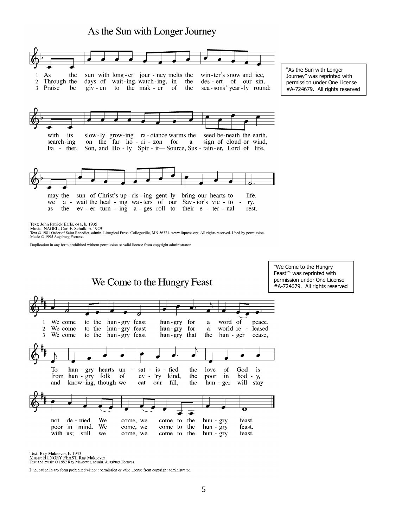# As the Sun with Longer Journey



Text: John Patrick Earls, osв, b. 1935<br>Music: NAGEL, Carl F. Schalk, b. 1929<br>Text © 1981 Order of Saint Benedict, admin. Liturgical Press, Collegeville, MN 56321. www.litpress.org. All rights reserved. Used by permission. Music © 1995 Augsburg Fortress.

Duplication in any form prohibited without permission or valid license from copyright administrator.



Text: Ray Makeever, b. 1943<br>Music: HUNGRY FEAST, Ray Makeever<br>Text and music © 1982 Ray Makeever, admin. Augsburg Fortress.

Duplication in any form prohibited without permission or valid license from copyright administrator